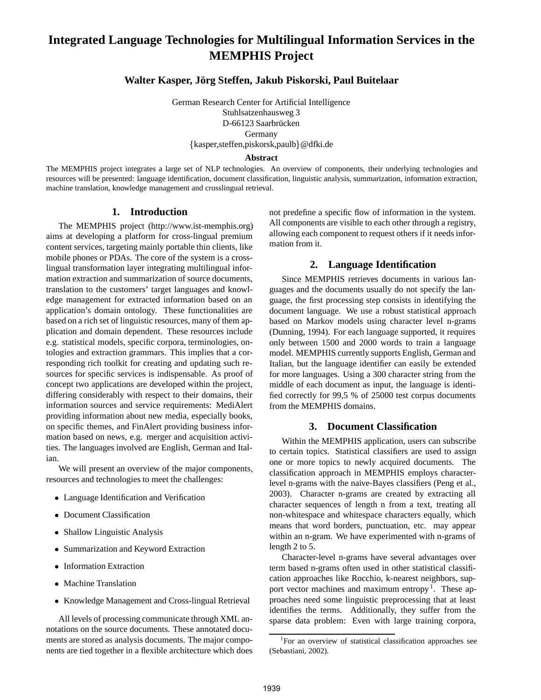# **Integrated Language Technologies for Multilingual Information Services in the MEMPHIS Project**

**Walter Kasper, Jorg Steffen, Jakub Piskorski, Paul Buitelaar ¨**

German Research Center for Artificial Intelligence Stuhlsatzenhausweg 3 D-66123 Saarbrücken Germany kasper,steffen,piskorsk,paulb@dfki.de

#### **Abstract**

The MEMPHIS project integrates a large set of NLP technologies. An overview of components, their underlying technologies and resources will be presented: language identification, document classification, linguistic analysis, summarization, information extraction, machine translation, knowledge management and crosslingual retrieval.

### **1. Introduction**

The MEMPHIS project (http://www.ist-memphis.org) aims at developing a platform for cross-lingual premium content services, targeting mainly portable thin clients, like mobile phones or PDAs. The core of the system is a crosslingual transformation layer integrating multilingual information extraction and summarization of source documents, translation to the customers' target languages and knowledge management for extracted information based on an application's domain ontology. These functionalities are based on a rich set of linguistic resources, many of them application and domain dependent. These resources include e.g. statistical models, specific corpora, terminologies, ontologies and extraction grammars. This implies that a corresponding rich toolkit for creating and updating such resources for specific services is indispensable. As proof of concept two applications are developed within the project, differing considerably with respect to their domains, their information sources and service requirements: MediAlert providing information about new media, especially books, on specific themes, and FinAlert providing business information based on news, e.g. merger and acquisition activities. The languages involved are English, German and Italian.

We will present an overview of the major components, resources and technologies to meet the challenges:

- Language Identification and Verification
- Document Classification
- Shallow Linguistic Analysis
- Summarization and Keyword Extraction
- Information Extraction
- Machine Translation
- Knowledge Management and Cross-lingual Retrieval

All levels of processing communicate through XML annotations on the source documents. These annotated documents are stored as analysis documents. The major components are tied together in a flexible architecture which does not predefine a specific flow of information in the system. All components are visible to each other through a registry, allowing each component to request others if it needs information from it.

### **2. Language Identification**

Since MEMPHIS retrieves documents in various languages and the documents usually do not specify the language, the first processing step consists in identifying the document language. We use a robust statistical approach based on Markov models using character level n-grams (Dunning, 1994). For each language supported, it requires only between 1500 and 2000 words to train a language model. MEMPHIS currently supports English, German and Italian, but the language identifier can easily be extended for more languages. Using a 300 character string from the middle of each document as input, the language is identified correctly for 99,5 % of 25000 test corpus documents from the MEMPHIS domains.

### **3. Document Classification**

Within the MEMPHIS application, users can subscribe to certain topics. Statistical classifiers are used to assign one or more topics to newly acquired documents. The classification approach in MEMPHIS employs characterlevel n-grams with the naive-Bayes classifiers (Peng et al., 2003). Character n-grams are created by extracting all character sequences of length n from a text, treating all non-whitespace and whitespace characters equally, which means that word borders, punctuation, etc. may appear within an n-gram. We have experimented with n-grams of length 2 to 5.

Character-level n-grams have several advantages over term based n-grams often used in other statistical classification approaches like Rocchio, k-nearest neighbors, support vector machines and maximum entropy<sup>1</sup>. These approaches need some linguistic preprocessing that at least identifies the terms. Additionally, they suffer from the sparse data problem: Even with large training corpora,

<sup>&</sup>lt;sup>1</sup>For an overview of statistical classification approaches see (Sebastiani, 2002).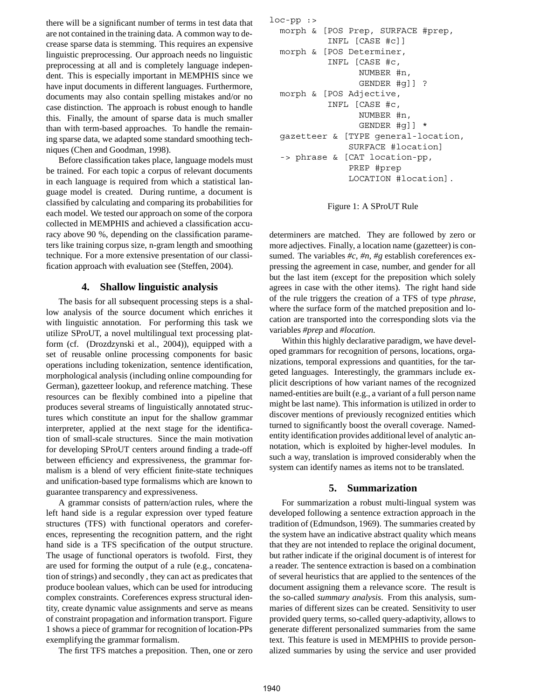there will be a significant number of terms in test data that are not contained in the training data. A common way to decrease sparse data is stemming. This requires an expensive linguistic preprocessing. Our approach needs no linguistic preprocessing at all and is completely language independent. This is especially important in MEMPHIS since we have input documents in different languages. Furthermore, documents may also contain spelling mistakes and/or no case distinction. The approach is robust enough to handle this. Finally, the amount of sparse data is much smaller than with term-based approaches. To handle the remaining sparse data, we adapted some standard smoothing techniques (Chen and Goodman, 1998).

Before classification takes place, language models must be trained. For each topic a corpus of relevant documents in each language is required from which a statistical language model is created. During runtime, a document is classified by calculating and comparing its probabilities for each model. We tested our approach on some of the corpora collected in MEMPHIS and achieved a classification accuracy above 90 %, depending on the classification parameters like training corpus size, n-gram length and smoothing technique. For a more extensive presentation of our classification approach with evaluation see (Steffen, 2004).

### **4. Shallow linguistic analysis**

The basis for all subsequent processing steps is a shallow analysis of the source document which enriches it with linguistic annotation. For performing this task we utilize SProUT, a novel multilingual text processing platform (cf. (Drozdzynski et al., 2004)), equipped with a set of reusable online processing components for basic operations including tokenization, sentence identification, morphological analysis (including online compounding for German), gazetteer lookup, and reference matching. These resources can be flexibly combined into a pipeline that produces several streams of linguistically annotated structures which constitute an input for the shallow grammar interpreter, applied at the next stage for the identification of small-scale structures. Since the main motivation for developing SProUT centers around finding a trade-off between efficiency and expressiveness, the grammar formalism is a blend of very efficient finite-state techniques and unification-based type formalisms which are known to guarantee transparency and expressiveness.

A grammar consists of pattern/action rules, where the left hand side is a regular expression over typed feature structures (TFS) with functional operators and coreferences, representing the recognition pattern, and the right hand side is a TFS specification of the output structure. The usage of functional operators is twofold. First, they are used for forming the output of a rule (e.g., concatenation of strings) and secondly , they can act as predicates that produce boolean values, which can be used for introducing complex constraints. Coreferences express structural identity, create dynamic value assignments and serve as means of constraint propagation and information transport. Figure 1 shows a piece of grammar for recognition of location-PPs exemplifying the grammar formalism.

The first TFS matches a preposition. Then, one or zero

```
loc-pp :>
morph & [POS Prep, SURFACE #prep,
          INFL [CASE #c]]
morph & [POS Determiner,
          INFL [CASE #c,
                NUMBER #n,
                GENDER #g]] ?
morph & [POS Adjective,
          INFL [CASE #c,
                NUMBER #n,
                GENDER #g]] *
gazetteer & [TYPE general-location,
              SURFACE #location]
 -> phrase & [CAT location-pp,
              PREP #prep
              LOCATION #location].
```
Figure 1: A SProUT Rule

determiners are matched. They are followed by zero or more adjectives. Finally, a location name (gazetteer) is consumed. The variables *#c, #n, #g* establish coreferences expressing the agreement in case, number, and gender for all but the last item (except for the preposition which solely agrees in case with the other items). The right hand side of the rule triggers the creation of a TFS of type *phrase*, where the surface form of the matched preposition and location are transported into the corresponding slots via the variables *#prep* and *#location*.

Within this highly declarative paradigm, we have developed grammars for recognition of persons, locations, organizations, temporal expressions and quantities, for the targeted languages. Interestingly, the grammars include explicit descriptions of how variant names of the recognized named-entities are built (e.g., a variant of a full person name might be last name). This information is utilized in order to discover mentions of previously recognized entities which turned to significantly boost the overall coverage. Namedentity identification provides additional level of analytic annotation, which is exploited by higher-level modules. In such a way, translation is improved considerably when the system can identify names as items not to be translated.

### **5. Summarization**

For summarization a robust multi-lingual system was developed following a sentence extraction approach in the tradition of (Edmundson, 1969). The summaries created by the system have an indicative abstract quality which means that they are not intended to replace the original document, but rather indicate if the original document is of interest for a reader. The sentence extraction is based on a combination of several heuristics that are applied to the sentences of the document assigning them a relevance score. The result is the so-called *summary analysis*. From this analysis, summaries of different sizes can be created. Sensitivity to user provided query terms, so-called query-adaptivity, allows to generate different personalized summaries from the same text. This feature is used in MEMPHIS to provide personalized summaries by using the service and user provided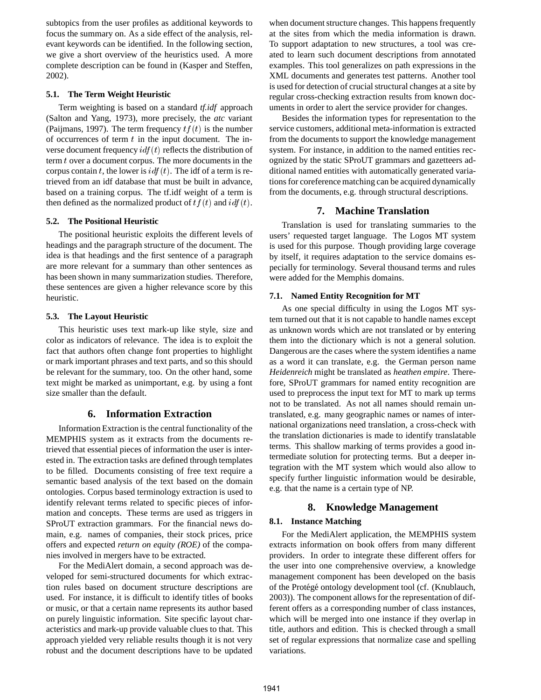subtopics from the user profiles as additional keywords to focus the summary on. As a side effect of the analysis, relevant keywords can be identified. In the following section, we give a short overview of the heuristics used. A more complete description can be found in (Kasper and Steffen, 2002).

### **5.1. The Term Weight Heuristic**

Term weighting is based on a standard *tf.idf* approach (Salton and Yang, 1973), more precisely, the *atc* variant (Paijmans, 1997). The term frequency  $tf(t)$  is the number of occurrences of term  $t$  in the input document. The inverse document frequency  $\int\! df(t)$  reflects the distribution of term  $t$  over a document corpus. The more documents in the corpus contain t, the lower is  $\int df(t)$ . The idf of a term is retrieved from an idf database that must be built in advance, based on a training corpus. The tf.idf weight of a term is then defined as the normalized product of  $tf(t)$  and  $idf(t)$ .

### **5.2. The Positional Heuristic**

The positional heuristic exploits the different levels of headings and the paragraph structure of the document. The idea is that headings and the first sentence of a paragraph are more relevant for a summary than other sentences as has been shown in many summarization studies. Therefore, these sentences are given a higher relevance score by this heuristic.

### **5.3. The Layout Heuristic**

This heuristic uses text mark-up like style, size and color as indicators of relevance. The idea is to exploit the fact that authors often change font properties to highlight or mark important phrases and text parts, and so this should be relevant for the summary, too. On the other hand, some text might be marked as unimportant, e.g. by using a font size smaller than the default.

# **6. Information Extraction**

Information Extraction is the central functionality of the MEMPHIS system as it extracts from the documents retrieved that essential pieces of information the user is interested in. The extraction tasks are defined through templates to be filled. Documents consisting of free text require a semantic based analysis of the text based on the domain ontologies. Corpus based terminology extraction is used to identify relevant terms related to specific pieces of information and concepts. These terms are used as triggers in SProUT extraction grammars. For the financial news domain, e.g. names of companies, their stock prices, price offers and expected *return on equity (ROE)* of the companies involved in mergers have to be extracted.

For the MediAlert domain, a second approach was developed for semi-structured documents for which extraction rules based on document structure descriptions are used. For instance, it is difficult to identify titles of books or music, or that a certain name represents its author based on purely linguistic information. Site specific layout characteristics and mark-up provide valuable clues to that. This approach yielded very reliable results though it is not very robust and the document descriptions have to be updated

when document structure changes. This happens frequently at the sites from which the media information is drawn. To support adaptation to new structures, a tool was created to learn such document descriptions from annotated examples. This tool generalizes on path expressions in the XML documents and generates test patterns. Another tool is used for detection of crucial structural changes at a site by regular cross-checking extraction results from known documents in order to alert the service provider for changes.

Besides the information types for representation to the service customers, additional meta-information is extracted from the documents to support the knowledge management system. For instance, in addition to the named entities recognized by the static SProUT grammars and gazetteers additional named entities with automatically generated variations for coreference matching can be acquired dynamically from the documents, e.g. through structural descriptions.

# **7. Machine Translation**

Translation is used for translating summaries to the users' requested target language. The Logos MT system is used for this purpose. Though providing large coverage by itself, it requires adaptation to the service domains especially for terminology. Several thousand terms and rules were added for the Memphis domains.

### **7.1. Named Entity Recognition for MT**

As one special difficulty in using the Logos MT system turned out that it is not capable to handle names except as unknown words which are not translated or by entering them into the dictionary which is not a general solution. Dangerous are the cases where the system identifies a name as a word it can translate, e.g. the German person name *Heidenreich* might be translated as *heathen empire*. Therefore, SProUT grammars for named entity recognition are used to preprocess the input text for MT to mark up terms not to be translated. As not all names should remain untranslated, e.g. many geographic names or names of international organizations need translation, a cross-check with the translation dictionaries is made to identify translatable terms. This shallow marking of terms provides a good intermediate solution for protecting terms. But a deeper integration with the MT system which would also allow to specify further linguistic information would be desirable, e.g. that the name is a certain type of NP.

# **8. Knowledge Management**

# **8.1. Instance Matching**

For the MediAlert application, the MEMPHIS system extracts information on book offers from many different providers. In order to integrate these different offers for the user into one comprehensive overview, a knowledge management component has been developed on the basis of the Protégé ontology development tool (cf. (Knublauch, 2003)). The component allows for the representation of different offers as a corresponding number of class instances, which will be merged into one instance if they overlap in title, authors and edition. This is checked through a small set of regular expressions that normalize case and spelling variations.